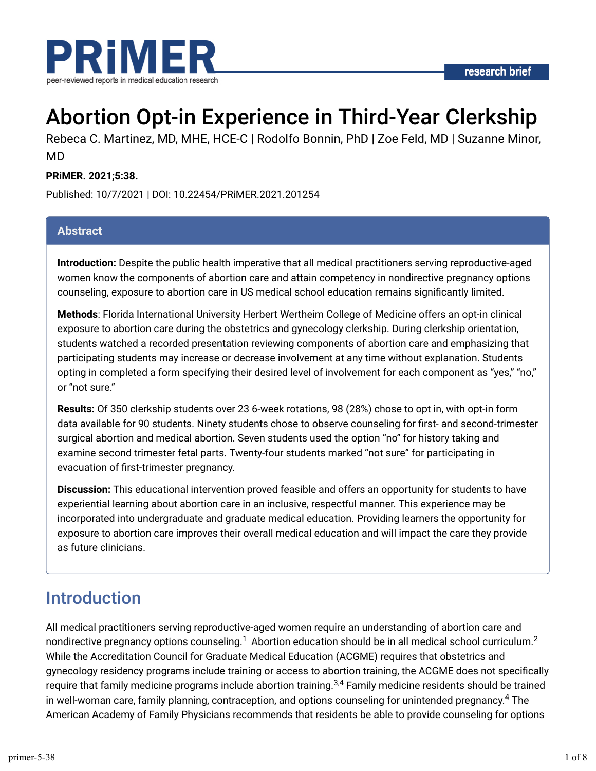



# Abortion Opt-in Experience in Third-Year Clerkship

Rebeca C. Martinez, MD, MHE, HCE-C | Rodolfo Bonnin, PhD | Zoe Feld, MD | Suzanne Minor, MD

#### **PRiMER. 2021;5:38.**

Published: 10/7/2021 | DOI: 10.22454/PRiMER.2021.201254

#### **Abstract**

**Introduction:** Despite the public health imperative that all medical practitioners serving reproductive-aged women know the components of abortion care and attain competency in nondirective pregnancy options counseling, exposure to abortion care in US medical school education remains significantly limited.

**Methods**: Florida International University Herbert Wertheim College of Medicine offers an opt-in clinical exposure to abortion care during the obstetrics and gynecology clerkship. During clerkship orientation, students watched a recorded presentation reviewing components of abortion care and emphasizing that participating students may increase or decrease involvement at any time without explanation. Students opting in completed a form specifying their desired level of involvement for each component as "yes," "no," or "not sure."

**Results:** Of 350 clerkship students over 23 6-week rotations, 98 (28%) chose to opt in, with opt-in form data available for 90 students. Ninety students chose to observe counseling for first- and second-trimester surgical abortion and medical abortion. Seven students used the option "no" for history taking and examine second trimester fetal parts. Twenty-four students marked "not sure" for participating in evacuation of first-trimester pregnancy.

**Discussion:** This educational intervention proved feasible and offers an opportunity for students to have experiential learning about abortion care in an inclusive, respectful manner. This experience may be incorporated into undergraduate and graduate medical education. Providing learners the opportunity for exposure to abortion care improves their overall medical education and will impact the care they provide as future clinicians.

### Introduction

All medical practitioners serving reproductive-aged women require an understanding of abortion care and nondirective pregnancy options counseling. $^1$  Abortion education should be in all medical school curriculum. $^2$ While the Accreditation Council for Graduate Medical Education (ACGME) requires that obstetrics and gynecology residency programs include training or access to abortion training, the ACGME does not specifically require that family medicine programs include abortion training.<sup>3,4</sup> Family medicine residents should be trained in well-woman care, family planning, contraception, and options counseling for unintended pregnancy. $^4$  The American Academy of Family Physicians recommends that residents be able to provide counseling for options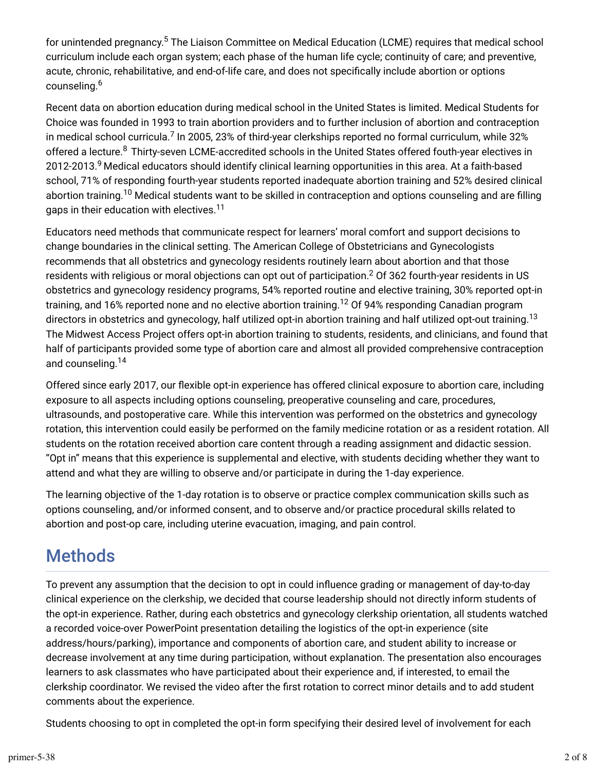for unintended pregnancy.<sup>5</sup> The Liaison Committee on Medical Education (LCME) requires that medical school curriculum include each organ system; each phase of the human life cycle; continuity of care; and preventive, acute, chronic, rehabilitative, and end-of-life care, and does not specifically include abortion or options counseling. 6

Recent data on abortion education during medical school in the United States is limited. Medical Students for Choice was founded in 1993 to train abortion providers and to further inclusion of abortion and contraception in medical school curricula.<sup>7</sup> In 2005, 23% of third-year clerkships reported no formal curriculum, while 32% offered a lecture. $^8$  Thirty-seven LCME-accredited schools in the United States offered fouth-year electives in 2012-2013.<sup>9</sup> Medical educators should identify clinical learning opportunities in this area. At a faith-based school, 71% of responding fourth-year students reported inadequate abortion training and 52% desired clinical abortion training.<sup>10</sup> Medical students want to be skilled in contraception and options counseling and are filling gaps in their education with electives. 11

Educators need methods that communicate respect for learners' moral comfort and support decisions to change boundaries in the clinical setting. The American College of Obstetricians and Gynecologists recommends that all obstetrics and gynecology residents routinely learn about abortion and that those residents with religious or moral objections can opt out of participation. $^2$  Of 362 fourth-year residents in US obstetrics and gynecology residency programs, 54% reported routine and elective training, 30% reported opt-in training, and 16% reported none and no elective abortion training.<sup>12</sup> Of 94% responding Canadian program directors in obstetrics and gynecology, half utilized opt-in abortion training and half utilized opt-out training.<sup>13</sup> The Midwest Access Project offers opt-in abortion training to students, residents, and clinicians, and found that half of participants provided some type of abortion care and almost all provided comprehensive contraception and counseling. 14

Offered since early 2017, our flexible opt-in experience has offered clinical exposure to abortion care, including exposure to all aspects including options counseling, preoperative counseling and care, procedures, ultrasounds, and postoperative care. While this intervention was performed on the obstetrics and gynecology rotation, this intervention could easily be performed on the family medicine rotation or as a resident rotation. All students on the rotation received abortion care content through a reading assignment and didactic session. "Opt in" means that this experience is supplemental and elective, with students deciding whether they want to attend and what they are willing to observe and/or participate in during the 1-day experience.

The learning objective of the 1-day rotation is to observe or practice complex communication skills such as options counseling, and/or informed consent, and to observe and/or practice procedural skills related to abortion and post-op care, including uterine evacuation, imaging, and pain control.

# **Methods**

To prevent any assumption that the decision to opt in could influence grading or management of day-to-day clinical experience on the clerkship, we decided that course leadership should not directly inform students of the opt-in experience. Rather, during each obstetrics and gynecology clerkship orientation, all students watched a recorded voice-over PowerPoint presentation detailing the logistics of the opt-in experience (site address/hours/parking), importance and components of abortion care, and student ability to increase or decrease involvement at any time during participation, without explanation. The presentation also encourages learners to ask classmates who have participated about their experience and, if interested, to email the clerkship coordinator. We revised the video after the first rotation to correct minor details and to add student comments about the experience.

Students choosing to opt in completed the opt-in form specifying their desired level of involvement for each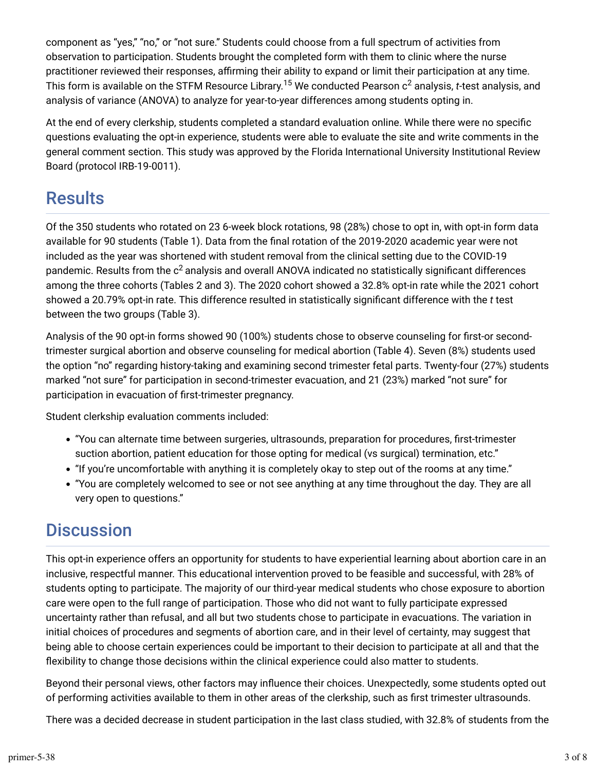component as "yes," "no," or "not sure." Students could choose from a full spectrum of activities from observation to participation. Students brought the completed form with them to clinic where the nurse practitioner reviewed their responses, affirming their ability to expand or limit their participation at any time. This form is available on the STFM Resource Library.<sup>15</sup> We conducted Pearson  ${\rm c^2}$  analysis,  $t$ -test analysis, and analysis of variance (ANOVA) to analyze for year-to-year differences among students opting in.

At the end of every clerkship, students completed a standard evaluation online. While there were no specific questions evaluating the opt-in experience, students were able to evaluate the site and write comments in the general comment section. This study was approved by the Florida International University Institutional Review Board (protocol IRB-19-0011).

## **Results**

Of the 350 students who rotated on 23 6-week block rotations, 98 (28%) chose to opt in, with opt-in form data available for 90 students (Table 1). Data from the final rotation of the 2019-2020 academic year were not included as the year was shortened with student removal from the clinical setting due to the COVID-19 pandemic. Results from the  $\rm c^2$  analysis and overall ANOVA indicated no statistically significant differences among the three cohorts (Tables 2 and 3). The 2020 cohort showed a 32.8% opt-in rate while the 2021 cohort showed a 20.79% opt-in rate. This difference resulted in statistically significant difference with the *t* test between the two groups (Table 3).

Analysis of the 90 opt-in forms showed 90 (100%) students chose to observe counseling for first-or secondtrimester surgical abortion and observe counseling for medical abortion (Table 4). Seven (8%) students used the option "no" regarding history-taking and examining second trimester fetal parts. Twenty-four (27%) students marked "not sure" for participation in second-trimester evacuation, and 21 (23%) marked "not sure" for participation in evacuation of first-trimester pregnancy.

Student clerkship evaluation comments included:

- "You can alternate time between surgeries, ultrasounds, preparation for procedures, first-trimester suction abortion, patient education for those opting for medical (vs surgical) termination, etc."
- "If you're uncomfortable with anything it is completely okay to step out of the rooms at any time."
- "You are completely welcomed to see or not see anything at any time throughout the day. They are all very open to questions."

# **Discussion**

This opt-in experience offers an opportunity for students to have experiential learning about abortion care in an inclusive, respectful manner. This educational intervention proved to be feasible and successful, with 28% of students opting to participate. The majority of our third-year medical students who chose exposure to abortion care were open to the full range of participation. Those who did not want to fully participate expressed uncertainty rather than refusal, and all but two students chose to participate in evacuations. The variation in initial choices of procedures and segments of abortion care, and in their level of certainty, may suggest that being able to choose certain experiences could be important to their decision to participate at all and that the flexibility to change those decisions within the clinical experience could also matter to students.

Beyond their personal views, other factors may influence their choices. Unexpectedly, some students opted out of performing activities available to them in other areas of the clerkship, such as Trst trimester ultrasounds.

There was a decided decrease in student participation in the last class studied, with 32.8% of students from the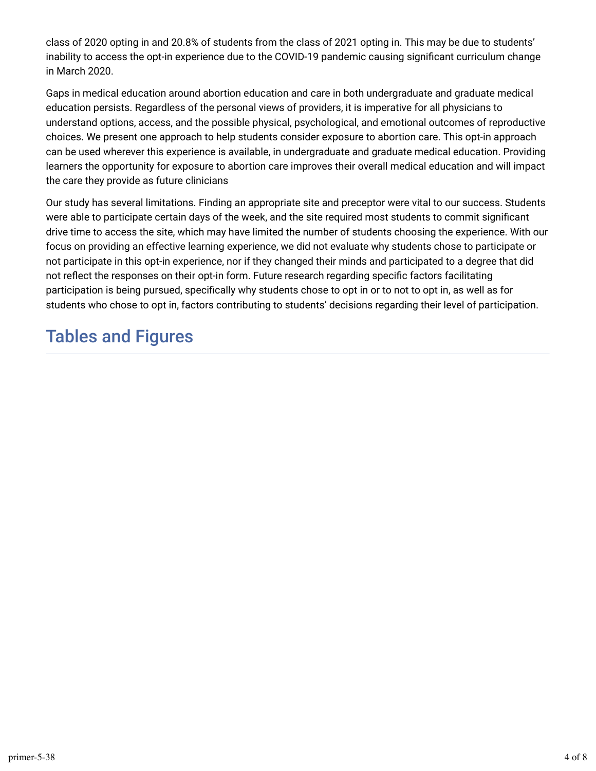class of 2020 opting in and 20.8% of students from the class of 2021 opting in. This may be due to students' inability to access the opt-in experience due to the COVID-19 pandemic causing significant curriculum change in March 2020.

Gaps in medical education around abortion education and care in both undergraduate and graduate medical education persists. Regardless of the personal views of providers, it is imperative for all physicians to understand options, access, and the possible physical, psychological, and emotional outcomes of reproductive choices. We present one approach to help students consider exposure to abortion care. This opt-in approach can be used wherever this experience is available, in undergraduate and graduate medical education. Providing learners the opportunity for exposure to abortion care improves their overall medical education and will impact the care they provide as future clinicians

Our study has several limitations. Finding an appropriate site and preceptor were vital to our success. Students were able to participate certain days of the week, and the site required most students to commit significant drive time to access the site, which may have limited the number of students choosing the experience. With our focus on providing an effective learning experience, we did not evaluate why students chose to participate or not participate in this opt-in experience, nor if they changed their minds and participated to a degree that did not reflect the responses on their opt-in form. Future research regarding specific factors facilitating participation is being pursued, specifically why students chose to opt in or to not to opt in, as well as for students who chose to opt in, factors contributing to students' decisions regarding their level of participation.

# Tables and Figures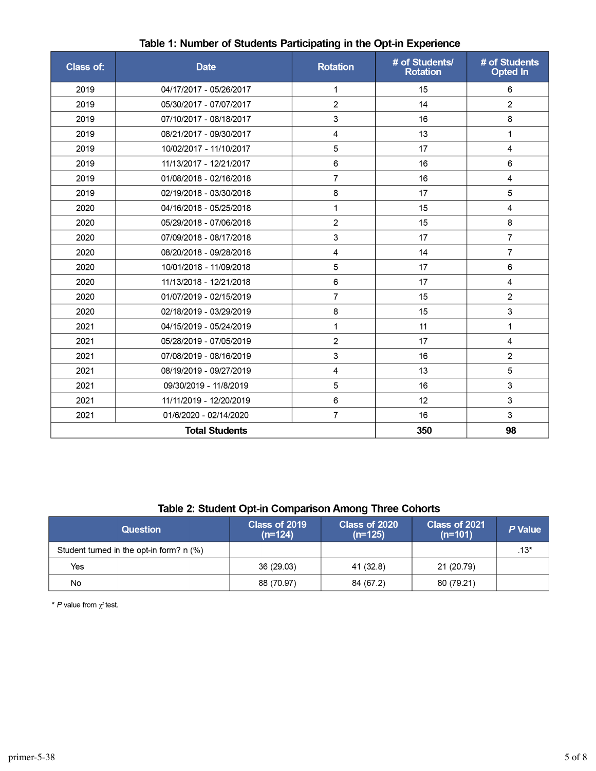| <b>Class of:</b>      | <b>Date</b>             | <b>Rotation</b> | # of Students/<br><b>Rotation</b> | # of Students<br><b>Opted In</b> |
|-----------------------|-------------------------|-----------------|-----------------------------------|----------------------------------|
| 2019                  | 04/17/2017 - 05/26/2017 | 1               | 15                                | 6                                |
| 2019                  | 05/30/2017 - 07/07/2017 | $\overline{2}$  | 14                                | $\overline{2}$                   |
| 2019                  | 07/10/2017 - 08/18/2017 | 3               | 16                                | 8                                |
| 2019                  | 08/21/2017 - 09/30/2017 | 4               | 13                                | 1                                |
| 2019                  | 10/02/2017 - 11/10/2017 | 5               | 17                                | 4                                |
| 2019                  | 11/13/2017 - 12/21/2017 | 6               | 16                                | 6                                |
| 2019                  | 01/08/2018 - 02/16/2018 | $\overline{7}$  | 16                                | 4                                |
| 2019                  | 02/19/2018 - 03/30/2018 | 8               | 17                                | 5                                |
| 2020                  | 04/16/2018 - 05/25/2018 | $\mathbf{1}$    | 15                                | $\overline{4}$                   |
| 2020                  | 05/29/2018 - 07/06/2018 | 2               | 15                                | 8                                |
| 2020                  | 07/09/2018 - 08/17/2018 | 3               | 17                                | $\overline{7}$                   |
| 2020                  | 08/20/2018 - 09/28/2018 | 4               | 14                                | $\overline{7}$                   |
| 2020                  | 10/01/2018 - 11/09/2018 | 5               | 17                                | 6                                |
| 2020                  | 11/13/2018 - 12/21/2018 | 6               | 17                                | $\overline{4}$                   |
| 2020                  | 01/07/2019 - 02/15/2019 | $\overline{7}$  | 15                                | $\overline{2}$                   |
| 2020                  | 02/18/2019 - 03/29/2019 | 8               | 15                                | 3                                |
| 2021                  | 04/15/2019 - 05/24/2019 | $\mathbf{1}$    | 11                                | 1                                |
| 2021                  | 05/28/2019 - 07/05/2019 | $\overline{2}$  | 17                                | 4                                |
| 2021                  | 07/08/2019 - 08/16/2019 | 3               | 16                                | $\overline{2}$                   |
| 2021                  | 08/19/2019 - 09/27/2019 | 4               | 13                                | 5                                |
| 2021                  | 09/30/2019 - 11/8/2019  | 5               | 16                                | 3                                |
| 2021                  | 11/11/2019 - 12/20/2019 | 6               | 12                                | 3                                |
| 2021                  | 01/6/2020 - 02/14/2020  | $\overline{7}$  | 16                                | 3                                |
| <b>Total Students</b> |                         |                 | 350                               | 98                               |

#### Table 1: Number of Students Participating in the Opt-in Experience

#### Table 2: Student Opt-in Comparison Among Three Cohorts

| Question                                   | Class of 2019<br>$(n=124)$ | Class of 2020<br>$(n=125)$ | Class of 2021<br>$(n=101)$ | P Value |
|--------------------------------------------|----------------------------|----------------------------|----------------------------|---------|
| Student turned in the opt-in form? $n$ (%) |                            |                            |                            | .13*    |
| Yes                                        | 36 (29.03)                 | 41 (32.8)                  | 21 (20.79)                 |         |
| No                                         | 88 (70.97)                 | 84 (67.2)                  | 80 (79.21)                 |         |

\* P value from  $\chi^2$  test.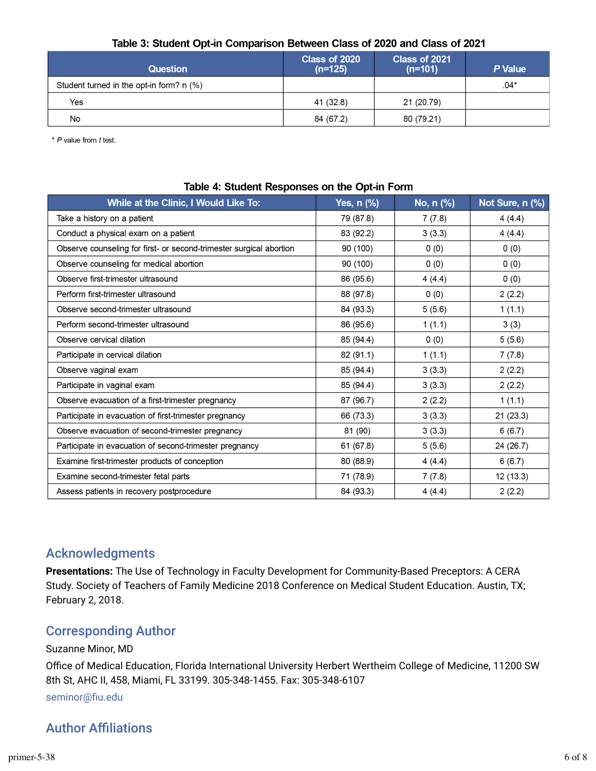#### Table 3: Student Opt-in Comparison Between Class of 2020 and Class of 2021

| <b>Question</b>                            | Class of 2020<br>$(n=125)$ | Class of 2021<br>$(n=101)$ | P Value |
|--------------------------------------------|----------------------------|----------------------------|---------|
| Student turned in the opt-in form? $n$ (%) |                            |                            | $.04*$  |
| Yes                                        | 41 (32.8)                  | 21 (20.79)                 |         |
| No                                         | 84 (67.2)                  | 80 (79.21)                 |         |

\* P value from t test.

| While at the Clinic, I Would Like To:                               | <b>Yes, n (%)</b> | No, n (%) | Not Sure, n (%) |  |  |  |
|---------------------------------------------------------------------|-------------------|-----------|-----------------|--|--|--|
| Take a history on a patient                                         | 79 (87.8)         | 7(7.8)    | 4(4.4)          |  |  |  |
| Conduct a physical exam on a patient                                | 83 (92.2)         | 3(3.3)    | 4(4.4)          |  |  |  |
| Observe counseling for first- or second-trimester surgical abortion | 90 (100)          | 0(0)      | 0(0)            |  |  |  |
| Observe counseling for medical abortion                             | 90 (100)          | 0(0)      | 0(0)            |  |  |  |
| Observe first-trimester ultrasound                                  | 86 (95.6)         | 4(4.4)    | 0(0)            |  |  |  |
| Perform first-trimester ultrasound                                  | 88 (97.8)         | 0(0)      | 2(2.2)          |  |  |  |
| Observe second-trimester ultrasound                                 | 84 (93.3)         | 5(5.6)    | 1(1.1)          |  |  |  |
| Perform second-trimester ultrasound                                 | 86 (95.6)         | 1(1.1)    | 3(3)            |  |  |  |
| Observe cervical dilation                                           | 85 (94.4)         | 0(0)      | 5(5.6)          |  |  |  |
| Participate in cervical dilation                                    | 82 (91.1)         | 1(1.1)    | 7(7.8)          |  |  |  |
| Observe vaginal exam                                                | 85 (94.4)         | 3(3.3)    | 2(2.2)          |  |  |  |
| Participate in vaginal exam                                         | 85 (94.4)         | 3(3.3)    | 2(2.2)          |  |  |  |
| Observe evacuation of a first-trimester pregnancy                   | 87 (96.7)         | 2(2.2)    | 1(1.1)          |  |  |  |
| Participate in evacuation of first-trimester pregnancy              | 66 (73.3)         | 3(3.3)    | 21(23.3)        |  |  |  |
| Observe evacuation of second-trimester pregnancy                    | 81 (90)           | 3(3.3)    | 6(6.7)          |  |  |  |
| Participate in evacuation of second-trimester pregnancy             | 61 (67.8)         | 5(5.6)    | 24 (26.7)       |  |  |  |
| Examine first-trimester products of conception                      | 80 (88.9)         | 4(4.4)    | 6(6.7)          |  |  |  |
| Examine second-trimester fetal parts                                | 71 (78.9)         | 7(7.8)    | 12(13.3)        |  |  |  |
| Assess patients in recovery postprocedure                           | 84 (93.3)         | 4(4.4)    | 2(2.2)          |  |  |  |

#### Table 4: Student Responses on the Opt-in Form

#### Acknowledgments

**Presentations:** The Use of Technology in Faculty Development for Community-Based Preceptors: A CERA Study. Society of Teachers of Family Medicine 2018 Conference on Medical Student Education. Austin, TX; February 2, 2018.

#### Corresponding Author

Suzanne Minor, MD Office of Medical Education, Florida International University Herbert Wertheim College of Medicine, 11200 SW 8th St, AHC II, 458, Miami, FL 33199. 305-348-1455. Fax: 305-348-6107 seminor@fiu.edu

#### **Author Affiliations**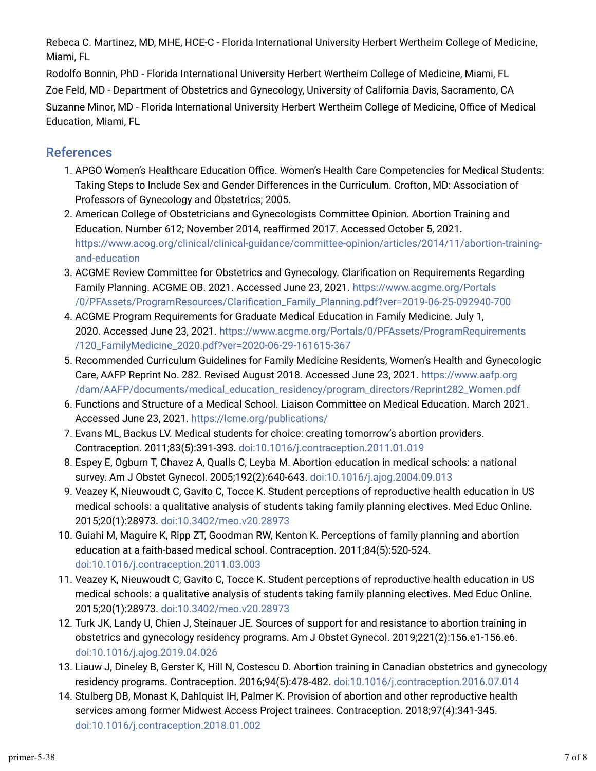Rebeca C. Martinez, MD, MHE, HCE-C - Florida International University Herbert Wertheim College of Medicine, Miami, FL

Rodolfo Bonnin, PhD - Florida International University Herbert Wertheim College of Medicine, Miami, FL Zoe Feld, MD - Department of Obstetrics and Gynecology, University of California Davis, Sacramento, CA Suzanne Minor, MD - Florida International University Herbert Wertheim College of Medicine, Office of Medical Education, Miami, FL

#### References

- 1. APGO Women's Healthcare Education Office. Women's Health Care Competencies for Medical Students: Taking Steps to Include Sex and Gender Differences in the Curriculum. Crofton, MD: Association of Professors of Gynecology and Obstetrics; 2005.
- 2. American College of Obstetricians and Gynecologists Committee Opinion. Abortion Training and Education. Number 612; November 2014, reaffirmed 2017. Accessed October 5, 2021. [https://www.acog.org/clinical/clinical-guidance/committee-opinion/articles/2014/11/abortion-training](https://www.acog.org/clinical/clinical-guidance/committee-opinion/articles/2014/11/abortion-training-and-education)[and-education](https://www.acog.org/clinical/clinical-guidance/committee-opinion/articles/2014/11/abortion-training-and-education)
- 3. ACGME Review Committee for Obstetrics and Gynecology. Clarification on Requirements Regarding Family Planning. ACGME OB. 2021. Accessed June 23, 2021. [https://www.acgme.org/Portals](https://www.acgme.org/Portals/0/PFAssets/ProgramResources/Clarification_Family_Planning.pdf?ver=2019-06-25-092940-700) [/0/PFAssets/ProgramResources/ClariTcation\\_Family\\_Planning.pdf?ver=2019-06-25-092940-700](https://www.acgme.org/Portals/0/PFAssets/ProgramResources/Clarification_Family_Planning.pdf?ver=2019-06-25-092940-700)
- 4. ACGME Program Requirements for Graduate Medical Education in Family Medicine. July 1, 2020. Accessed June 23, 2021. [https://www.acgme.org/Portals/0/PFAssets/ProgramRequirements](https://www.acgme.org/Portals/0/PFAssets/ProgramRequirements/120_FamilyMedicine_2020.pdf?ver=2020-06-29-161615-367) [/120\\_FamilyMedicine\\_2020.pdf?ver=2020-06-29-161615-367](https://www.acgme.org/Portals/0/PFAssets/ProgramRequirements/120_FamilyMedicine_2020.pdf?ver=2020-06-29-161615-367)
- 5. Recommended Curriculum Guidelines for Family Medicine Residents, Women's Health and Gynecologic Care, AAFP Reprint No. 282. Revised August 2018. Accessed June 23, 2021. [https://www.aafp.org](https://www.aafp.org/dam/AAFP/documents/medical_education_residency/program_directors/Reprint282_Women.pdf) [/dam/AAFP/documents/medical\\_education\\_residency/program\\_directors/Reprint282\\_Women.pdf](https://www.aafp.org/dam/AAFP/documents/medical_education_residency/program_directors/Reprint282_Women.pdf)
- s. Functions and Structure of a Medical School. Liaison Committee on Medical Education. March 2021. Accessed June 23, 2021. <https://lcme.org/publications/>
- 7. Evans ML, Backus LV. Medical students for choice: creating tomorrow's abortion providers. Contraception. 2011;83(5):391-393. [doi:10.1016/j.contraception.2011.01.019](https://doi.org/10.1016/j.contraception.2011.01.019)
- t. Espey E, Ogburn T, Chavez A, Qualls C, Leyba M. Abortion education in medical schools: a national survey. Am J Obstet Gynecol. 2005;192(2):640-643. [doi:10.1016/j.ajog.2004.09.013](https://doi.org/10.1016/j.ajog.2004.09.013)
- 9. Veazey K, Nieuwoudt C, Gavito C, Tocce K. Student perceptions of reproductive health education in US medical schools: a qualitative analysis of students taking family planning electives. Med Educ Online. 2015;20(1):28973. [doi:10.3402/meo.v20.28973](https://doi.org/10.3402/meo.v20.28973)
- 10. Guiahi M, Maguire K, Ripp ZT, Goodman RW, Kenton K. Perceptions of family planning and abortion education at a faith-based medical school. Contraception. 2011;84(5):520-524. [doi:10.1016/j.contraception.2011.03.003](https://doi.org/10.1016/j.contraception.2011.03.003)
- 11. Veazey K, Nieuwoudt C, Gavito C, Tocce K. Student perceptions of reproductive health education in US medical schools: a qualitative analysis of students taking family planning electives. Med Educ Online. 2015;20(1):28973. [doi:10.3402/meo.v20.28973](https://doi.org/10.3402/meo.v20.28973)
- 12. Turk JK, Landy U, Chien J, Steinauer JE. Sources of support for and resistance to abortion training in obstetrics and gynecology residency programs. Am J Obstet Gynecol. 2019;221(2):156.e1-156.e6. [doi:10.1016/j.ajog.2019.04.026](https://doi.org/10.1016/j.ajog.2019.04.026)
- 13. Liauw J, Dineley B, Gerster K, Hill N, Costescu D. Abortion training in Canadian obstetrics and gynecology residency programs. Contraception. 2016;94(5):478-482. [doi:10.1016/j.contraception.2016.07.014](https://doi.org/10.1016/j.contraception.2016.07.014)
- 14. Stulberg DB, Monast K, Dahlquist IH, Palmer K. Provision of abortion and other reproductive health services among former Midwest Access Project trainees. Contraception. 2018;97(4):341-345. [doi:10.1016/j.contraception.2018.01.002](https://doi.org/10.1016/j.contraception.2018.01.002)